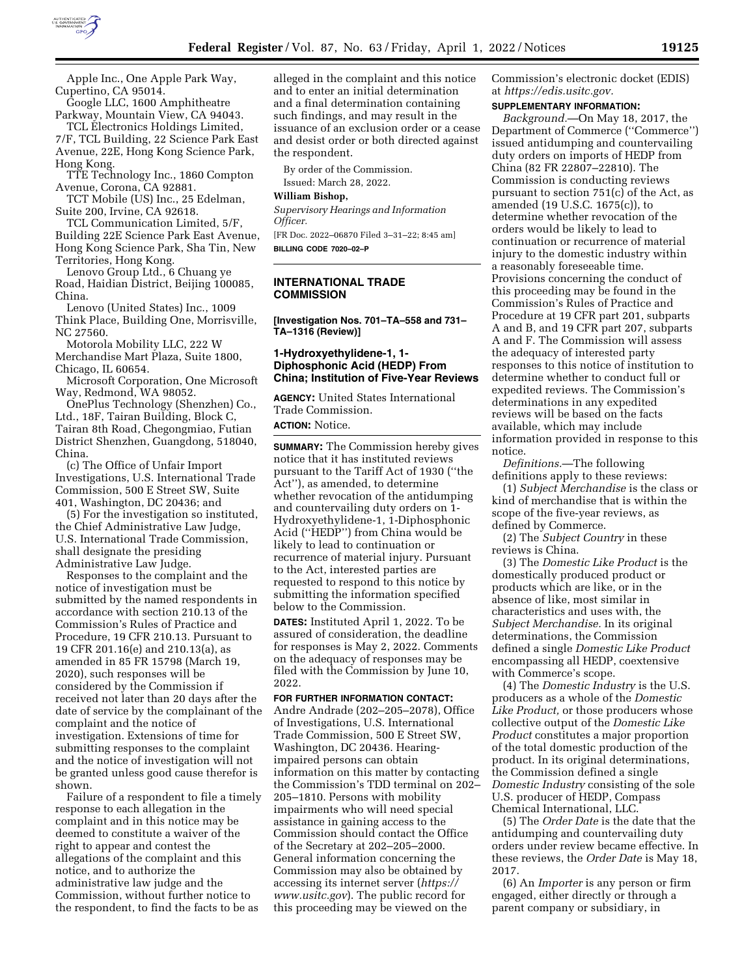

Apple Inc., One Apple Park Way, Cupertino, CA 95014.

Google LLC, 1600 Amphitheatre Parkway, Mountain View, CA 94043. TCL Electronics Holdings Limited,

7/F, TCL Building, 22 Science Park East Avenue, 22E, Hong Kong Science Park, Hong Kong.

TTE Technology Inc., 1860 Compton Avenue, Corona, CA 92881.

TCT Mobile (US) Inc., 25 Edelman, Suite 200, Irvine, CA 92618.

TCL Communication Limited, 5/F, Building 22E Science Park East Avenue, Hong Kong Science Park, Sha Tin, New Territories, Hong Kong.

Lenovo Group Ltd., 6 Chuang ye Road, Haidian District, Beijing 100085, China.

Lenovo (United States) Inc., 1009 Think Place, Building One, Morrisville, NC 27560.

Motorola Mobility LLC, 222 W Merchandise Mart Plaza, Suite 1800, Chicago, IL 60654.

Microsoft Corporation, One Microsoft Way, Redmond, WA 98052.

OnePlus Technology (Shenzhen) Co., Ltd., 18F, Tairan Building, Block C, Tairan 8th Road, Chegongmiao, Futian District Shenzhen, Guangdong, 518040, China.

(c) The Office of Unfair Import Investigations, U.S. International Trade Commission, 500 E Street SW, Suite 401, Washington, DC 20436; and

(5) For the investigation so instituted, the Chief Administrative Law Judge, U.S. International Trade Commission, shall designate the presiding Administrative Law Judge.

Responses to the complaint and the notice of investigation must be submitted by the named respondents in accordance with section 210.13 of the Commission's Rules of Practice and Procedure, 19 CFR 210.13. Pursuant to 19 CFR 201.16(e) and 210.13(a), as amended in 85 FR 15798 (March 19, 2020), such responses will be considered by the Commission if received not later than 20 days after the date of service by the complainant of the complaint and the notice of investigation. Extensions of time for submitting responses to the complaint and the notice of investigation will not be granted unless good cause therefor is shown.

Failure of a respondent to file a timely response to each allegation in the complaint and in this notice may be deemed to constitute a waiver of the right to appear and contest the allegations of the complaint and this notice, and to authorize the administrative law judge and the Commission, without further notice to the respondent, to find the facts to be as

alleged in the complaint and this notice and to enter an initial determination and a final determination containing such findings, and may result in the issuance of an exclusion order or a cease and desist order or both directed against the respondent.

By order of the Commission. Issued: March 28, 2022.

# **William Bishop,**

*Supervisory Hearings and Information Officer.* 

[FR Doc. 2022–06870 Filed 3–31–22; 8:45 am] **BILLING CODE 7020–02–P** 

#### **INTERNATIONAL TRADE COMMISSION**

**[Investigation Nos. 701–TA–558 and 731– TA–1316 (Review)]** 

## **1-Hydroxyethylidene-1, 1- Diphosphonic Acid (HEDP) From China; Institution of Five-Year Reviews**

**AGENCY:** United States International Trade Commission.

**ACTION:** Notice.

**SUMMARY:** The Commission hereby gives notice that it has instituted reviews pursuant to the Tariff Act of 1930 (''the Act''), as amended, to determine whether revocation of the antidumping and countervailing duty orders on 1- Hydroxyethylidene-1, 1-Diphosphonic Acid (''HEDP'') from China would be likely to lead to continuation or recurrence of material injury. Pursuant to the Act, interested parties are requested to respond to this notice by submitting the information specified below to the Commission.

**DATES:** Instituted April 1, 2022. To be assured of consideration, the deadline for responses is May 2, 2022. Comments on the adequacy of responses may be filed with the Commission by June 10, 2022.

**FOR FURTHER INFORMATION CONTACT:**  Andre Andrade (202–205–2078), Office

of Investigations, U.S. International Trade Commission, 500 E Street SW, Washington, DC 20436. Hearingimpaired persons can obtain information on this matter by contacting the Commission's TDD terminal on 202– 205–1810. Persons with mobility impairments who will need special assistance in gaining access to the Commission should contact the Office of the Secretary at 202–205–2000. General information concerning the Commission may also be obtained by accessing its internet server (*https:// www.usitc.gov*). The public record for this proceeding may be viewed on the

Commission's electronic docket (EDIS) at *https://edis.usitc.gov.* 

#### **SUPPLEMENTARY INFORMATION:**

*Background.*—On May 18, 2017, the Department of Commerce (''Commerce'') issued antidumping and countervailing duty orders on imports of HEDP from China (82 FR 22807–22810). The Commission is conducting reviews pursuant to section 751(c) of the Act, as amended (19 U.S.C. 1675(c)), to determine whether revocation of the orders would be likely to lead to continuation or recurrence of material injury to the domestic industry within a reasonably foreseeable time. Provisions concerning the conduct of this proceeding may be found in the Commission's Rules of Practice and Procedure at 19 CFR part 201, subparts A and B, and 19 CFR part 207, subparts A and F. The Commission will assess the adequacy of interested party responses to this notice of institution to determine whether to conduct full or expedited reviews. The Commission's determinations in any expedited reviews will be based on the facts available, which may include information provided in response to this notice.

*Definitions.*—The following definitions apply to these reviews:

(1) *Subject Merchandise* is the class or kind of merchandise that is within the scope of the five-year reviews, as defined by Commerce.

(2) The *Subject Country* in these reviews is China.

(3) The *Domestic Like Product* is the domestically produced product or products which are like, or in the absence of like, most similar in characteristics and uses with, the *Subject Merchandise.* In its original determinations, the Commission defined a single *Domestic Like Product*  encompassing all HEDP, coextensive with Commerce's scope.

(4) The *Domestic Industry* is the U.S. producers as a whole of the *Domestic Like Product,* or those producers whose collective output of the *Domestic Like Product* constitutes a major proportion of the total domestic production of the product. In its original determinations, the Commission defined a single *Domestic Industry* consisting of the sole U.S. producer of HEDP, Compass Chemical International, LLC.

(5) The *Order Date* is the date that the antidumping and countervailing duty orders under review became effective. In these reviews, the *Order Date* is May 18, 2017.

(6) An *Importer* is any person or firm engaged, either directly or through a parent company or subsidiary, in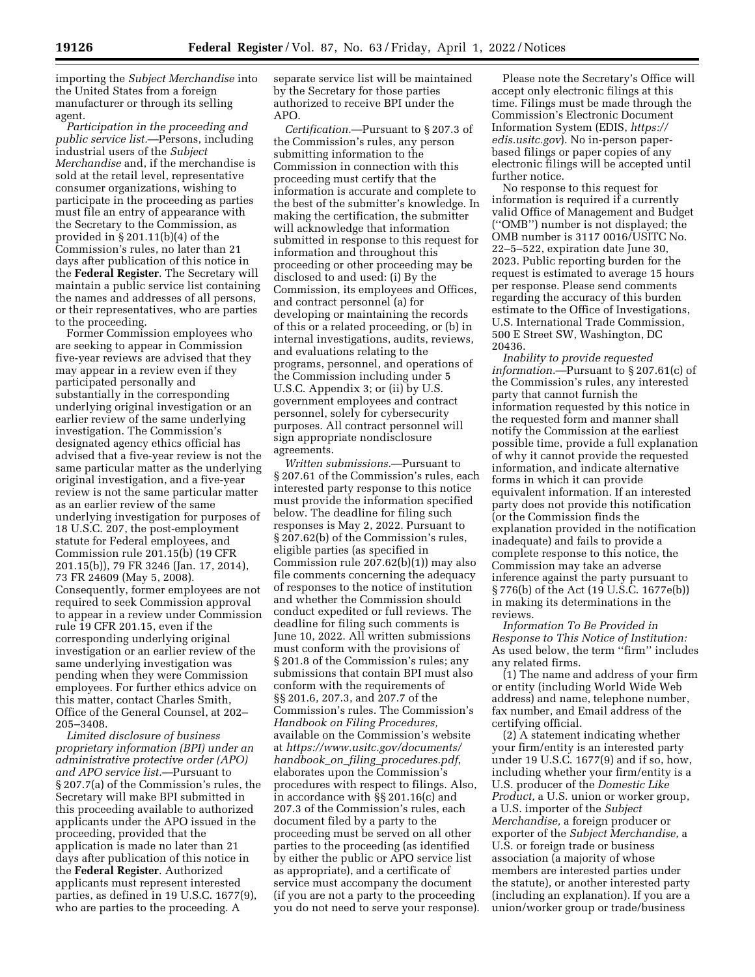importing the *Subject Merchandise* into the United States from a foreign manufacturer or through its selling agent.

*Participation in the proceeding and public service list.*—Persons, including industrial users of the *Subject Merchandise* and, if the merchandise is sold at the retail level, representative consumer organizations, wishing to participate in the proceeding as parties must file an entry of appearance with the Secretary to the Commission, as provided in § 201.11(b)(4) of the Commission's rules, no later than 21 days after publication of this notice in the **Federal Register**. The Secretary will maintain a public service list containing the names and addresses of all persons, or their representatives, who are parties to the proceeding.

Former Commission employees who are seeking to appear in Commission five-year reviews are advised that they may appear in a review even if they participated personally and substantially in the corresponding underlying original investigation or an earlier review of the same underlying investigation. The Commission's designated agency ethics official has advised that a five-year review is not the same particular matter as the underlying original investigation, and a five-year review is not the same particular matter as an earlier review of the same underlying investigation for purposes of 18 U.S.C. 207, the post-employment statute for Federal employees, and Commission rule 201.15(b) (19 CFR 201.15(b)), 79 FR 3246 (Jan. 17, 2014), 73 FR 24609 (May 5, 2008). Consequently, former employees are not required to seek Commission approval to appear in a review under Commission rule 19 CFR 201.15, even if the corresponding underlying original investigation or an earlier review of the same underlying investigation was pending when they were Commission employees. For further ethics advice on this matter, contact Charles Smith, Office of the General Counsel, at 202– 205–3408.

*Limited disclosure of business proprietary information (BPI) under an administrative protective order (APO) and APO service list.*—Pursuant to § 207.7(a) of the Commission's rules, the Secretary will make BPI submitted in this proceeding available to authorized applicants under the APO issued in the proceeding, provided that the application is made no later than 21 days after publication of this notice in the **Federal Register**. Authorized applicants must represent interested parties, as defined in 19 U.S.C. 1677(9), who are parties to the proceeding. A

separate service list will be maintained by the Secretary for those parties authorized to receive BPI under the APO.

*Certification.*—Pursuant to § 207.3 of the Commission's rules, any person submitting information to the Commission in connection with this proceeding must certify that the information is accurate and complete to the best of the submitter's knowledge. In making the certification, the submitter will acknowledge that information submitted in response to this request for information and throughout this proceeding or other proceeding may be disclosed to and used: (i) By the Commission, its employees and Offices, and contract personnel (a) for developing or maintaining the records of this or a related proceeding, or (b) in internal investigations, audits, reviews, and evaluations relating to the programs, personnel, and operations of the Commission including under 5 U.S.C. Appendix 3; or (ii) by U.S. government employees and contract personnel, solely for cybersecurity purposes. All contract personnel will sign appropriate nondisclosure agreements.

*Written submissions.*—Pursuant to § 207.61 of the Commission's rules, each interested party response to this notice must provide the information specified below. The deadline for filing such responses is May 2, 2022. Pursuant to § 207.62(b) of the Commission's rules, eligible parties (as specified in Commission rule 207.62(b)(1)) may also file comments concerning the adequacy of responses to the notice of institution and whether the Commission should conduct expedited or full reviews. The deadline for filing such comments is June 10, 2022. All written submissions must conform with the provisions of § 201.8 of the Commission's rules; any submissions that contain BPI must also conform with the requirements of §§ 201.6, 207.3, and 207.7 of the Commission's rules. The Commission's *Handbook on Filing Procedures,*  available on the Commission's website at *https://www.usitc.gov/documents/ handbook*\_*on*\_*filing*\_*procedures.pdf*, elaborates upon the Commission's procedures with respect to filings. Also, in accordance with §§ 201.16(c) and 207.3 of the Commission's rules, each document filed by a party to the proceeding must be served on all other parties to the proceeding (as identified by either the public or APO service list as appropriate), and a certificate of service must accompany the document (if you are not a party to the proceeding you do not need to serve your response).

Please note the Secretary's Office will accept only electronic filings at this time. Filings must be made through the Commission's Electronic Document Information System (EDIS, *https:// edis.usitc.gov*). No in-person paperbased filings or paper copies of any electronic filings will be accepted until further notice.

No response to this request for information is required if a currently valid Office of Management and Budget (''OMB'') number is not displayed; the OMB number is 3117 0016/USITC No. 22–5–522, expiration date June 30, 2023. Public reporting burden for the request is estimated to average 15 hours per response. Please send comments regarding the accuracy of this burden estimate to the Office of Investigations, U.S. International Trade Commission, 500 E Street SW, Washington, DC 20436.

*Inability to provide requested information.*—Pursuant to § 207.61(c) of the Commission's rules, any interested party that cannot furnish the information requested by this notice in the requested form and manner shall notify the Commission at the earliest possible time, provide a full explanation of why it cannot provide the requested information, and indicate alternative forms in which it can provide equivalent information. If an interested party does not provide this notification (or the Commission finds the explanation provided in the notification inadequate) and fails to provide a complete response to this notice, the Commission may take an adverse inference against the party pursuant to § 776(b) of the Act (19 U.S.C. 1677e(b)) in making its determinations in the reviews.

*Information To Be Provided in Response to This Notice of Institution:*  As used below, the term ''firm'' includes any related firms.

(1) The name and address of your firm or entity (including World Wide Web address) and name, telephone number, fax number, and Email address of the certifying official.

(2) A statement indicating whether your firm/entity is an interested party under 19 U.S.C. 1677(9) and if so, how, including whether your firm/entity is a U.S. producer of the *Domestic Like Product,* a U.S. union or worker group, a U.S. importer of the *Subject Merchandise,* a foreign producer or exporter of the *Subject Merchandise,* a U.S. or foreign trade or business association (a majority of whose members are interested parties under the statute), or another interested party (including an explanation). If you are a union/worker group or trade/business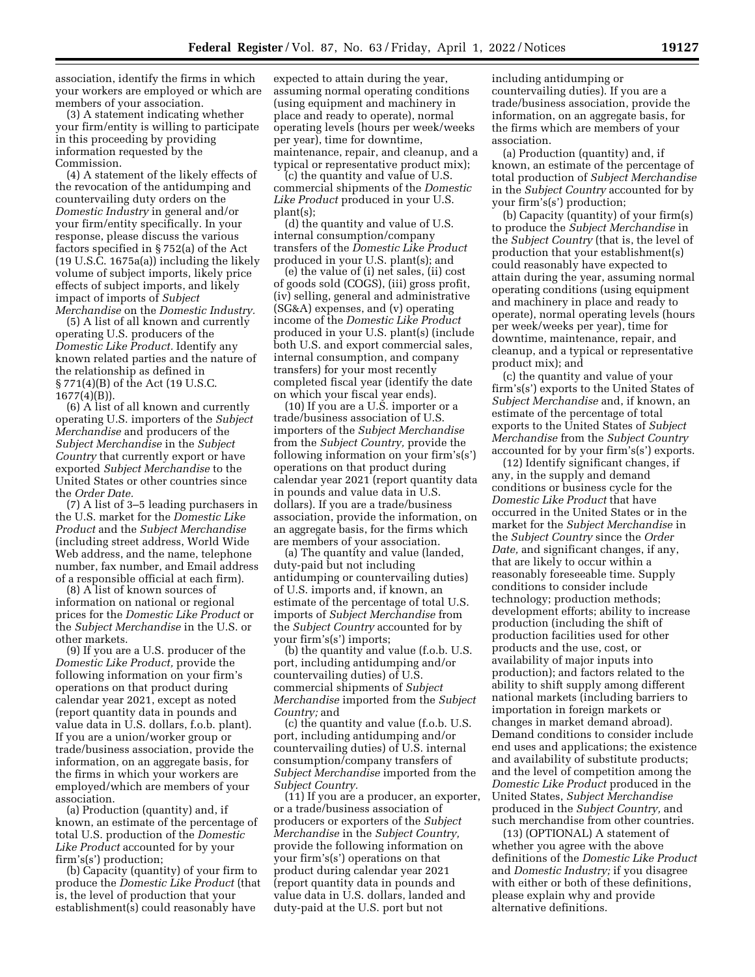association, identify the firms in which your workers are employed or which are members of your association.

(3) A statement indicating whether your firm/entity is willing to participate in this proceeding by providing information requested by the Commission.

(4) A statement of the likely effects of the revocation of the antidumping and countervailing duty orders on the *Domestic Industry* in general and/or your firm/entity specifically. In your response, please discuss the various factors specified in § 752(a) of the Act (19 U.S.C. 1675a(a)) including the likely volume of subject imports, likely price effects of subject imports, and likely impact of imports of *Subject Merchandise* on the *Domestic Industry.* 

(5) A list of all known and currently operating U.S. producers of the *Domestic Like Product.* Identify any known related parties and the nature of the relationship as defined in § 771(4)(B) of the Act (19 U.S.C. 1677(4)(B)).

(6) A list of all known and currently operating U.S. importers of the *Subject Merchandise* and producers of the *Subject Merchandise* in the *Subject Country* that currently export or have exported *Subject Merchandise* to the United States or other countries since the *Order Date.* 

(7) A list of 3–5 leading purchasers in the U.S. market for the *Domestic Like Product* and the *Subject Merchandise*  (including street address, World Wide Web address, and the name, telephone number, fax number, and Email address of a responsible official at each firm).

(8) A list of known sources of information on national or regional prices for the *Domestic Like Product* or the *Subject Merchandise* in the U.S. or other markets.

(9) If you are a U.S. producer of the *Domestic Like Product,* provide the following information on your firm's operations on that product during calendar year 2021, except as noted (report quantity data in pounds and value data in U.S. dollars, f.o.b. plant). If you are a union/worker group or trade/business association, provide the information, on an aggregate basis, for the firms in which your workers are employed/which are members of your association.

(a) Production (quantity) and, if known, an estimate of the percentage of total U.S. production of the *Domestic Like Product* accounted for by your firm's(s') production;

(b) Capacity (quantity) of your firm to produce the *Domestic Like Product* (that is, the level of production that your establishment(s) could reasonably have

expected to attain during the year, assuming normal operating conditions (using equipment and machinery in place and ready to operate), normal operating levels (hours per week/weeks per year), time for downtime, maintenance, repair, and cleanup, and a typical or representative product mix);

(c) the quantity and value of U.S. commercial shipments of the *Domestic Like Product* produced in your U.S. plant(s);

(d) the quantity and value of U.S. internal consumption/company transfers of the *Domestic Like Product*  produced in your U.S. plant(s); and

(e) the value of (i) net sales, (ii) cost of goods sold (COGS), (iii) gross profit, (iv) selling, general and administrative (SG&A) expenses, and (v) operating income of the *Domestic Like Product*  produced in your U.S. plant(s) (include both U.S. and export commercial sales, internal consumption, and company transfers) for your most recently completed fiscal year (identify the date on which your fiscal year ends).

(10) If you are a U.S. importer or a trade/business association of U.S. importers of the *Subject Merchandise*  from the *Subject Country,* provide the following information on your firm's(s') operations on that product during calendar year 2021 (report quantity data in pounds and value data in U.S. dollars). If you are a trade/business association, provide the information, on an aggregate basis, for the firms which are members of your association.

(a) The quantity and value (landed, duty-paid but not including antidumping or countervailing duties) of U.S. imports and, if known, an estimate of the percentage of total U.S. imports of *Subject Merchandise* from the *Subject Country* accounted for by your firm's(s') imports;

(b) the quantity and value (f.o.b. U.S. port, including antidumping and/or countervailing duties) of U.S. commercial shipments of *Subject Merchandise* imported from the *Subject Country;* and

(c) the quantity and value (f.o.b. U.S. port, including antidumping and/or countervailing duties) of U.S. internal consumption/company transfers of *Subject Merchandise* imported from the *Subject Country.* 

(11) If you are a producer, an exporter, or a trade/business association of producers or exporters of the *Subject Merchandise* in the *Subject Country,*  provide the following information on your firm's(s') operations on that product during calendar year 2021 (report quantity data in pounds and value data in U.S. dollars, landed and duty-paid at the U.S. port but not

including antidumping or countervailing duties). If you are a trade/business association, provide the information, on an aggregate basis, for the firms which are members of your association.

(a) Production (quantity) and, if known, an estimate of the percentage of total production of *Subject Merchandise*  in the *Subject Country* accounted for by your firm's(s') production;

(b) Capacity (quantity) of your firm(s) to produce the *Subject Merchandise* in the *Subject Country* (that is, the level of production that your establishment(s) could reasonably have expected to attain during the year, assuming normal operating conditions (using equipment and machinery in place and ready to operate), normal operating levels (hours per week/weeks per year), time for downtime, maintenance, repair, and cleanup, and a typical or representative product mix); and

(c) the quantity and value of your firm's(s') exports to the United States of *Subject Merchandise* and, if known, an estimate of the percentage of total exports to the United States of *Subject Merchandise* from the *Subject Country*  accounted for by your firm's(s') exports.

(12) Identify significant changes, if any, in the supply and demand conditions or business cycle for the *Domestic Like Product* that have occurred in the United States or in the market for the *Subject Merchandise* in the *Subject Country* since the *Order Date,* and significant changes, if any, that are likely to occur within a reasonably foreseeable time. Supply conditions to consider include technology; production methods; development efforts; ability to increase production (including the shift of production facilities used for other products and the use, cost, or availability of major inputs into production); and factors related to the ability to shift supply among different national markets (including barriers to importation in foreign markets or changes in market demand abroad). Demand conditions to consider include end uses and applications; the existence and availability of substitute products; and the level of competition among the *Domestic Like Product* produced in the United States, *Subject Merchandise*  produced in the *Subject Country,* and such merchandise from other countries.

(13) (OPTIONAL) A statement of whether you agree with the above definitions of the *Domestic Like Product*  and *Domestic Industry;* if you disagree with either or both of these definitions, please explain why and provide alternative definitions.